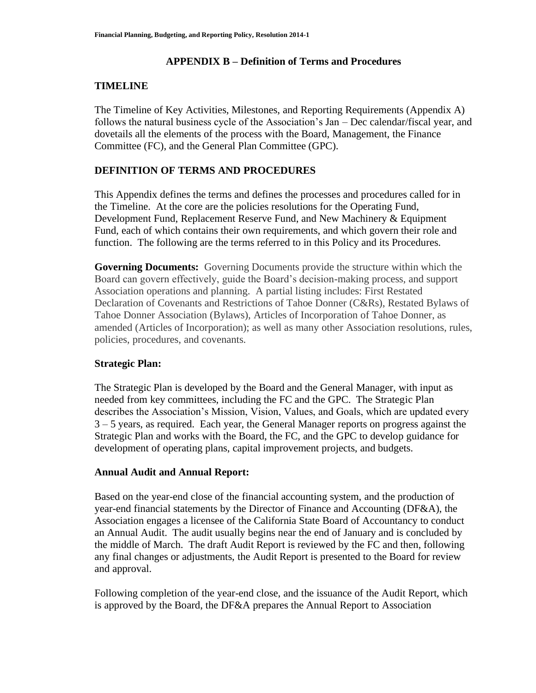### **APPENDIX B – Definition of Terms and Procedures**

# **TIMELINE**

The Timeline of Key Activities, Milestones, and Reporting Requirements (Appendix A) follows the natural business cycle of the Association's Jan – Dec calendar/fiscal year, and dovetails all the elements of the process with the Board, Management, the Finance Committee (FC), and the General Plan Committee (GPC).

# **DEFINITION OF TERMS AND PROCEDURES**

This Appendix defines the terms and defines the processes and procedures called for in the Timeline. At the core are the policies resolutions for the Operating Fund, Development Fund, Replacement Reserve Fund, and New Machinery & Equipment Fund, each of which contains their own requirements, and which govern their role and function. The following are the terms referred to in this Policy and its Procedures.

**Governing Documents:** Governing Documents provide the structure within which the Board can govern effectively, guide the Board's decision-making process, and support Association operations and planning. A partial listing includes: First Restated Declaration of Covenants and Restrictions of Tahoe Donner (C&Rs), Restated Bylaws of Tahoe Donner Association (Bylaws), Articles of Incorporation of Tahoe Donner, as amended (Articles of Incorporation); as well as many other Association resolutions, rules, policies, procedures, and covenants.

## **Strategic Plan:**

The Strategic Plan is developed by the Board and the General Manager, with input as needed from key committees, including the FC and the GPC. The Strategic Plan describes the Association's Mission, Vision, Values, and Goals, which are updated every 3 – 5 years, as required. Each year, the General Manager reports on progress against the Strategic Plan and works with the Board, the FC, and the GPC to develop guidance for development of operating plans, capital improvement projects, and budgets.

## **Annual Audit and Annual Report:**

Based on the year-end close of the financial accounting system, and the production of year-end financial statements by the Director of Finance and Accounting (DF&A), the Association engages a licensee of the California State Board of Accountancy to conduct an Annual Audit. The audit usually begins near the end of January and is concluded by the middle of March. The draft Audit Report is reviewed by the FC and then, following any final changes or adjustments, the Audit Report is presented to the Board for review and approval.

Following completion of the year-end close, and the issuance of the Audit Report, which is approved by the Board, the DF&A prepares the Annual Report to Association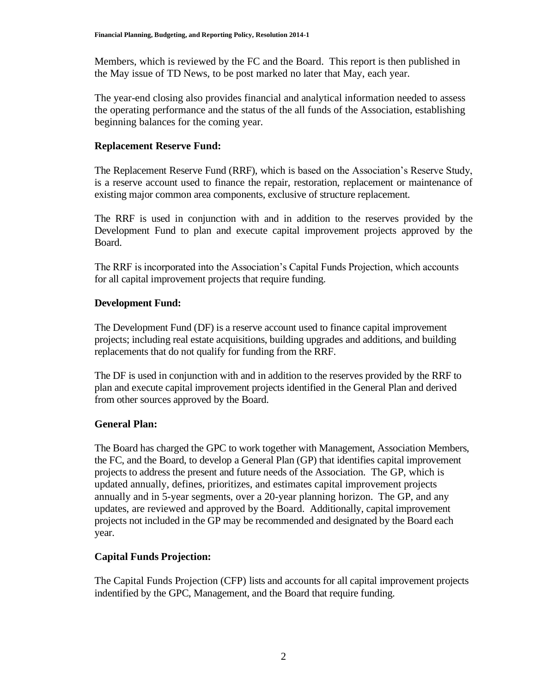Members, which is reviewed by the FC and the Board. This report is then published in the May issue of TD News, to be post marked no later that May, each year.

The year-end closing also provides financial and analytical information needed to assess the operating performance and the status of the all funds of the Association, establishing beginning balances for the coming year.

### **Replacement Reserve Fund:**

The Replacement Reserve Fund (RRF), which is based on the Association's Reserve Study, is a reserve account used to finance the repair, restoration, replacement or maintenance of existing major common area components, exclusive of structure replacement.

The RRF is used in conjunction with and in addition to the reserves provided by the Development Fund to plan and execute capital improvement projects approved by the Board.

The RRF is incorporated into the Association's Capital Funds Projection, which accounts for all capital improvement projects that require funding.

### **Development Fund:**

The Development Fund (DF) is a reserve account used to finance capital improvement projects; including real estate acquisitions, building upgrades and additions, and building replacements that do not qualify for funding from the RRF.

The DF is used in conjunction with and in addition to the reserves provided by the RRF to plan and execute capital improvement projects identified in the General Plan and derived from other sources approved by the Board.

## **General Plan:**

The Board has charged the GPC to work together with Management, Association Members, the FC, and the Board, to develop a General Plan (GP) that identifies capital improvement projects to address the present and future needs of the Association. The GP, which is updated annually, defines, prioritizes, and estimates capital improvement projects annually and in 5-year segments, over a 20-year planning horizon. The GP, and any updates, are reviewed and approved by the Board. Additionally, capital improvement projects not included in the GP may be recommended and designated by the Board each year.

## **Capital Funds Projection:**

The Capital Funds Projection (CFP) lists and accounts for all capital improvement projects indentified by the GPC, Management, and the Board that require funding.